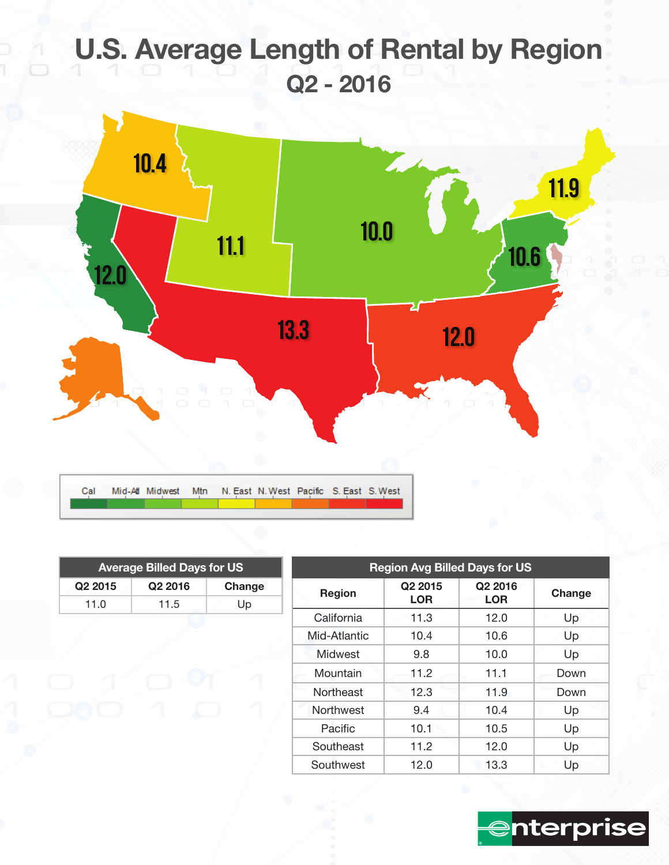# U.S. Average Length of Rental by Region Q2 - 2016



| <b>Average Billed Days for US</b> |                     |        |  |  |  |
|-----------------------------------|---------------------|--------|--|--|--|
| Q <sub>2</sub> 2015               | Q <sub>2</sub> 2016 | Change |  |  |  |
| 11.0                              | 11.5                | Up     |  |  |  |

| <b>Region Avg Billed Days for US</b> |                       |                                   |        |  |  |  |
|--------------------------------------|-----------------------|-----------------------------------|--------|--|--|--|
| Region                               | Q2 2015<br><b>LOR</b> | Q <sub>2</sub> 2016<br><b>LOR</b> | Change |  |  |  |
| California                           | 11.3                  | 12.0                              | Up     |  |  |  |
| Mid-Atlantic                         | 10.4                  | 10.6                              | Up     |  |  |  |
| Midwest                              | 9.8                   | 10.0                              | Up     |  |  |  |
| Mountain                             | 11.2                  | 11.1                              | Down   |  |  |  |
| Northeast                            | 12.3                  | 11.9                              | Down   |  |  |  |
| <b>Northwest</b>                     | 9.4                   | 10.4                              | Up     |  |  |  |
| Pacific                              | 10.1                  | 10.5                              | Up     |  |  |  |
| Southeast                            | 11.2                  | 12.0                              | Up     |  |  |  |
| Southwest                            | 12.0                  | 13.3                              | Up     |  |  |  |

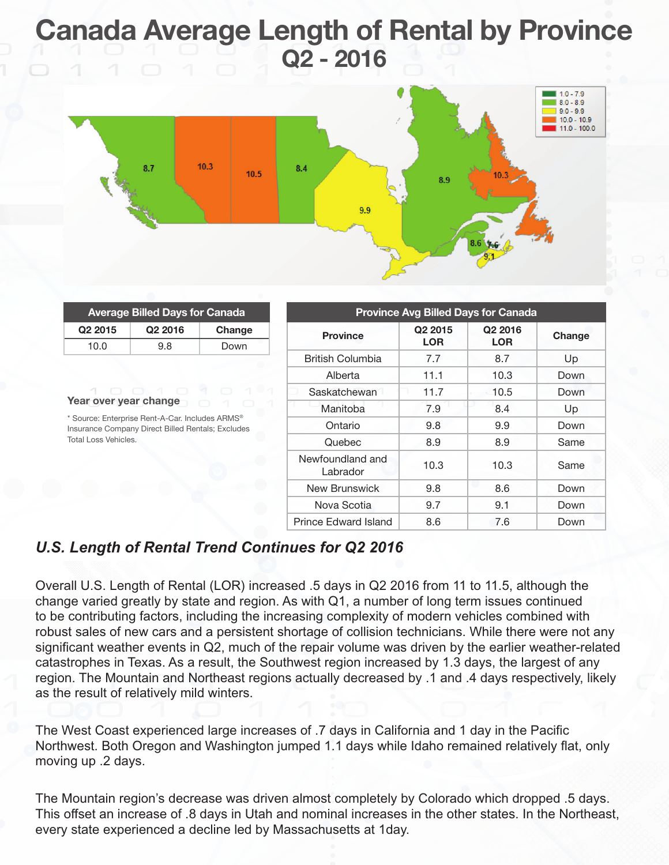## Canada Average Length of Rental by Province Q2 - 2016



| <b>Average Billed Days for Canada</b>      |        |  |
|--------------------------------------------|--------|--|
| Q <sub>2</sub> 2015<br>Q <sub>2</sub> 2016 | Change |  |
| 10.0<br>9.8                                | Down   |  |

#### Year over year change

\* Source: Enterprise Rent-A-Car. Includes ARMS® Insurance Company Direct Billed Rentals; Excludes Total Loss Vehicles.

| <b>Province Avg Billed Days for Canada</b> |                                   |                                   |        |  |  |
|--------------------------------------------|-----------------------------------|-----------------------------------|--------|--|--|
| <b>Province</b>                            | Q <sub>2</sub> 2015<br><b>LOR</b> | Q <sub>2</sub> 2016<br><b>LOR</b> | Change |  |  |
| British Columbia                           | 7.7                               | 8.7                               | Up     |  |  |
| Alberta                                    | 11.1                              | 10.3                              | Down   |  |  |
| Saskatchewan                               | 11.7                              | 10.5                              | Down   |  |  |
| Manitoba                                   | 7.9                               | 8.4                               | Up     |  |  |
| Ontario                                    | 9.8                               | 9.9                               | Down   |  |  |
| Quebec                                     | 8.9                               | 8.9                               | Same   |  |  |
| Newfoundland and<br>Labrador               | 10.3                              | 10.3                              | Same   |  |  |
| New Brunswick                              | 9.8                               | 8.6                               | Down   |  |  |
| Nova Scotia                                | 9.7                               | 9.1                               | Down   |  |  |
| Prince Edward Island                       | 8.6                               | 7.6                               | Down   |  |  |

## *U.S. Length of Rental Trend Continues for Q2 2016*

Overall U.S. Length of Rental (LOR) increased .5 days in Q2 2016 from 11 to 11.5, although the change varied greatly by state and region. As with Q1, a number of long term issues continued to be contributing factors, including the increasing complexity of modern vehicles combined with robust sales of new cars and a persistent shortage of collision technicians. While there were not any significant weather events in Q2, much of the repair volume was driven by the earlier weather-related catastrophes in Texas. As a result, the Southwest region increased by 1.3 days, the largest of any region. The Mountain and Northeast regions actually decreased by .1 and .4 days respectively, likely as the result of relatively mild winters.

The West Coast experienced large increases of .7 days in California and 1 day in the Pacific Northwest. Both Oregon and Washington jumped 1.1 days while Idaho remained relatively flat, only moving up .2 days.

The Mountain region's decrease was driven almost completely by Colorado which dropped .5 days. This offset an increase of .8 days in Utah and nominal increases in the other states. In the Northeast, every state experienced a decline led by Massachusetts at 1day.